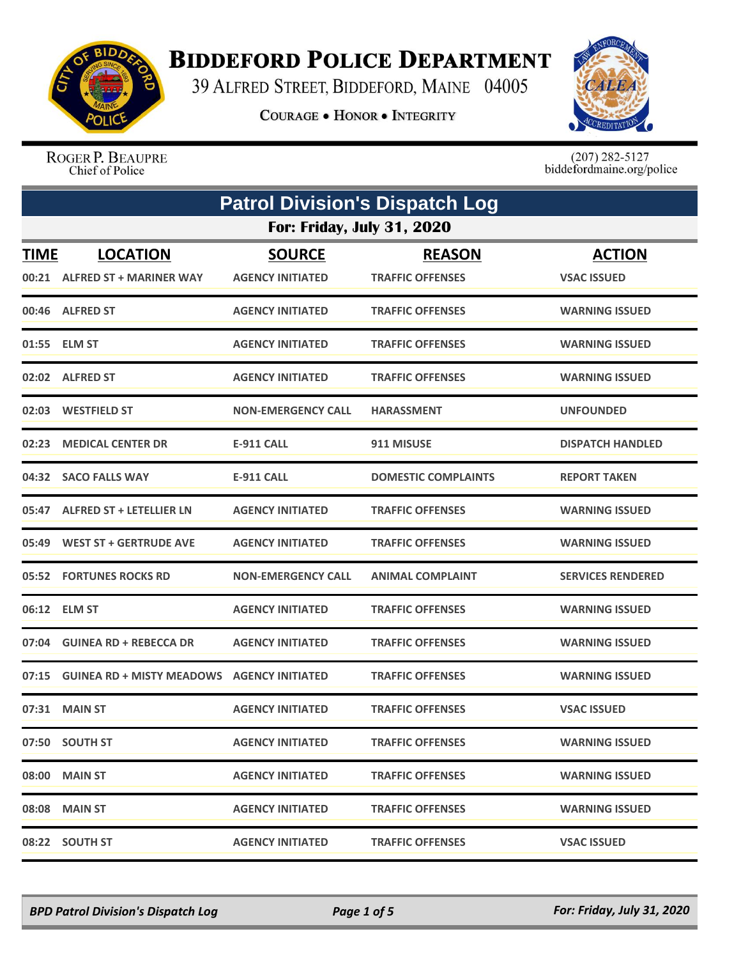

## **BIDDEFORD POLICE DEPARTMENT**

39 ALFRED STREET, BIDDEFORD, MAINE 04005

**COURAGE . HONOR . INTEGRITY** 



ROGER P. BEAUPRE Chief of Police

 $(207)$  282-5127<br>biddefordmaine.org/police

| <b>Patrol Division's Dispatch Log</b> |                                                   |                                          |                                          |                                     |  |
|---------------------------------------|---------------------------------------------------|------------------------------------------|------------------------------------------|-------------------------------------|--|
|                                       | <b>For: Friday, July 31, 2020</b>                 |                                          |                                          |                                     |  |
| <b>TIME</b><br>00:21                  | <b>LOCATION</b><br><b>ALFRED ST + MARINER WAY</b> | <b>SOURCE</b><br><b>AGENCY INITIATED</b> | <b>REASON</b><br><b>TRAFFIC OFFENSES</b> | <b>ACTION</b><br><b>VSAC ISSUED</b> |  |
|                                       | 00:46 ALFRED ST                                   | <b>AGENCY INITIATED</b>                  | <b>TRAFFIC OFFENSES</b>                  | <b>WARNING ISSUED</b>               |  |
|                                       | 01:55 ELM ST                                      | <b>AGENCY INITIATED</b>                  | <b>TRAFFIC OFFENSES</b>                  | <b>WARNING ISSUED</b>               |  |
|                                       | 02:02 ALFRED ST                                   | <b>AGENCY INITIATED</b>                  | <b>TRAFFIC OFFENSES</b>                  | <b>WARNING ISSUED</b>               |  |
|                                       | 02:03 WESTFIELD ST                                | <b>NON-EMERGENCY CALL</b>                | <b>HARASSMENT</b>                        | <b>UNFOUNDED</b>                    |  |
|                                       | 02:23 MEDICAL CENTER DR                           | <b>E-911 CALL</b>                        | 911 MISUSE                               | <b>DISPATCH HANDLED</b>             |  |
|                                       | 04:32 SACO FALLS WAY                              | <b>E-911 CALL</b>                        | <b>DOMESTIC COMPLAINTS</b>               | <b>REPORT TAKEN</b>                 |  |
| 05:47                                 | ALFRED ST + LETELLIER LN                          | <b>AGENCY INITIATED</b>                  | <b>TRAFFIC OFFENSES</b>                  | <b>WARNING ISSUED</b>               |  |
|                                       | 05:49 WEST ST + GERTRUDE AVE                      | <b>AGENCY INITIATED</b>                  | <b>TRAFFIC OFFENSES</b>                  | <b>WARNING ISSUED</b>               |  |
|                                       | 05:52 FORTUNES ROCKS RD                           | <b>NON-EMERGENCY CALL</b>                | <b>ANIMAL COMPLAINT</b>                  | <b>SERVICES RENDERED</b>            |  |
|                                       | 06:12 ELM ST                                      | <b>AGENCY INITIATED</b>                  | <b>TRAFFIC OFFENSES</b>                  | <b>WARNING ISSUED</b>               |  |
|                                       | 07:04 GUINEA RD + REBECCA DR                      | <b>AGENCY INITIATED</b>                  | <b>TRAFFIC OFFENSES</b>                  | <b>WARNING ISSUED</b>               |  |
|                                       | 07:15 GUINEA RD + MISTY MEADOWS AGENCY INITIATED  |                                          | <b>TRAFFIC OFFENSES</b>                  | <b>WARNING ISSUED</b>               |  |
|                                       | 07:31 MAIN ST                                     | <b>AGENCY INITIATED</b>                  | <b>TRAFFIC OFFENSES</b>                  | <b>VSAC ISSUED</b>                  |  |
|                                       | 07:50 SOUTH ST                                    | <b>AGENCY INITIATED</b>                  | <b>TRAFFIC OFFENSES</b>                  | <b>WARNING ISSUED</b>               |  |
|                                       | 08:00 MAIN ST                                     | <b>AGENCY INITIATED</b>                  | <b>TRAFFIC OFFENSES</b>                  | <b>WARNING ISSUED</b>               |  |
|                                       | 08:08 MAIN ST                                     | <b>AGENCY INITIATED</b>                  | <b>TRAFFIC OFFENSES</b>                  | <b>WARNING ISSUED</b>               |  |
|                                       | 08:22 SOUTH ST                                    | <b>AGENCY INITIATED</b>                  | <b>TRAFFIC OFFENSES</b>                  | <b>VSAC ISSUED</b>                  |  |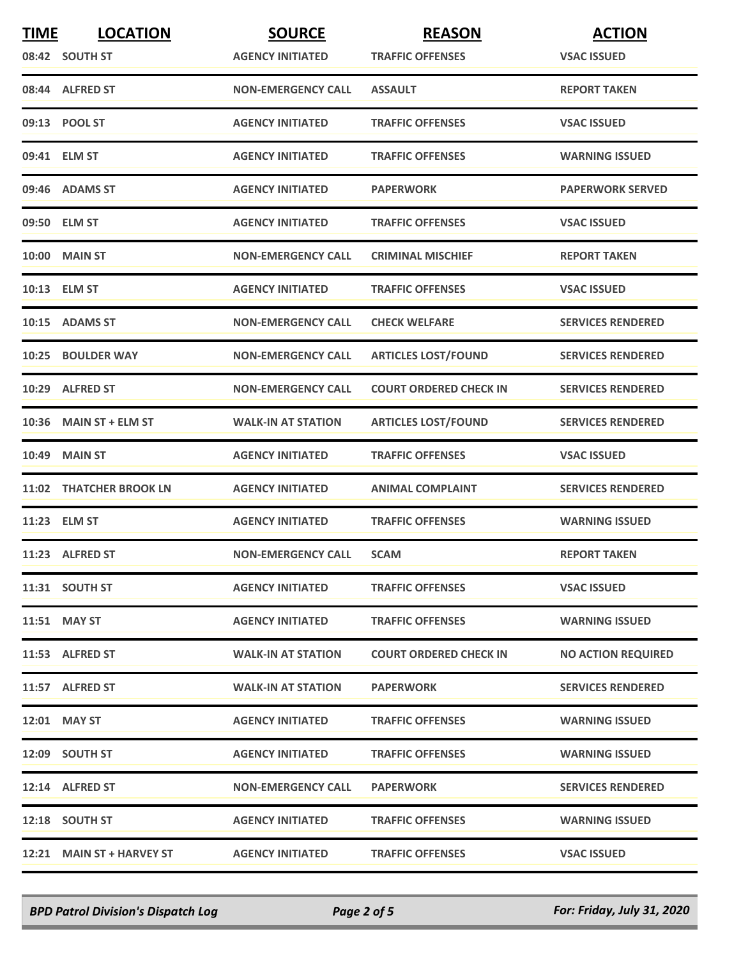| <b>TIME</b> | <b>LOCATION</b>           | <b>SOURCE</b>             | <b>REASON</b>                 | <b>ACTION</b>             |
|-------------|---------------------------|---------------------------|-------------------------------|---------------------------|
|             | 08:42 SOUTH ST            | <b>AGENCY INITIATED</b>   | <b>TRAFFIC OFFENSES</b>       | <b>VSAC ISSUED</b>        |
|             | 08:44 ALFRED ST           | <b>NON-EMERGENCY CALL</b> | <b>ASSAULT</b>                | <b>REPORT TAKEN</b>       |
|             | 09:13 POOL ST             | <b>AGENCY INITIATED</b>   | <b>TRAFFIC OFFENSES</b>       | <b>VSAC ISSUED</b>        |
|             | 09:41 ELM ST              | <b>AGENCY INITIATED</b>   | <b>TRAFFIC OFFENSES</b>       | <b>WARNING ISSUED</b>     |
|             | 09:46 ADAMS ST            | <b>AGENCY INITIATED</b>   | <b>PAPERWORK</b>              | <b>PAPERWORK SERVED</b>   |
|             | 09:50 ELM ST              | <b>AGENCY INITIATED</b>   | <b>TRAFFIC OFFENSES</b>       | <b>VSAC ISSUED</b>        |
|             | <b>10:00 MAIN ST</b>      | <b>NON-EMERGENCY CALL</b> | <b>CRIMINAL MISCHIEF</b>      | <b>REPORT TAKEN</b>       |
|             | 10:13 ELM ST              | <b>AGENCY INITIATED</b>   | <b>TRAFFIC OFFENSES</b>       | <b>VSAC ISSUED</b>        |
|             | 10:15 ADAMS ST            | <b>NON-EMERGENCY CALL</b> | <b>CHECK WELFARE</b>          | <b>SERVICES RENDERED</b>  |
| 10:25       | <b>BOULDER WAY</b>        | <b>NON-EMERGENCY CALL</b> | <b>ARTICLES LOST/FOUND</b>    | <b>SERVICES RENDERED</b>  |
|             | 10:29 ALFRED ST           | <b>NON-EMERGENCY CALL</b> | <b>COURT ORDERED CHECK IN</b> | <b>SERVICES RENDERED</b>  |
|             | 10:36 MAIN ST + ELM ST    | <b>WALK-IN AT STATION</b> | <b>ARTICLES LOST/FOUND</b>    | <b>SERVICES RENDERED</b>  |
|             | <b>10:49 MAIN ST</b>      | <b>AGENCY INITIATED</b>   | <b>TRAFFIC OFFENSES</b>       | <b>VSAC ISSUED</b>        |
|             | 11:02 THATCHER BROOK LN   | <b>AGENCY INITIATED</b>   | <b>ANIMAL COMPLAINT</b>       | <b>SERVICES RENDERED</b>  |
|             | 11:23 ELM ST              | <b>AGENCY INITIATED</b>   | <b>TRAFFIC OFFENSES</b>       | <b>WARNING ISSUED</b>     |
|             | 11:23 ALFRED ST           | <b>NON-EMERGENCY CALL</b> | <b>SCAM</b>                   | <b>REPORT TAKEN</b>       |
|             | 11:31 SOUTH ST            | <b>AGENCY INITIATED</b>   | <b>TRAFFIC OFFENSES</b>       | <b>VSAC ISSUED</b>        |
|             | 11:51 MAY ST              | <b>AGENCY INITIATED</b>   | <b>TRAFFIC OFFENSES</b>       | <b>WARNING ISSUED</b>     |
|             | 11:53 ALFRED ST           | <b>WALK-IN AT STATION</b> | <b>COURT ORDERED CHECK IN</b> | <b>NO ACTION REQUIRED</b> |
|             | 11:57 ALFRED ST           | <b>WALK-IN AT STATION</b> | <b>PAPERWORK</b>              | <b>SERVICES RENDERED</b>  |
|             | 12:01 MAY ST              | <b>AGENCY INITIATED</b>   | <b>TRAFFIC OFFENSES</b>       | <b>WARNING ISSUED</b>     |
|             | 12:09 SOUTH ST            | <b>AGENCY INITIATED</b>   | <b>TRAFFIC OFFENSES</b>       | <b>WARNING ISSUED</b>     |
|             | 12:14 ALFRED ST           | <b>NON-EMERGENCY CALL</b> | <b>PAPERWORK</b>              | <b>SERVICES RENDERED</b>  |
|             | 12:18 SOUTH ST            | <b>AGENCY INITIATED</b>   | <b>TRAFFIC OFFENSES</b>       | <b>WARNING ISSUED</b>     |
|             | 12:21 MAIN ST + HARVEY ST | <b>AGENCY INITIATED</b>   | <b>TRAFFIC OFFENSES</b>       | <b>VSAC ISSUED</b>        |

*BPD Patrol Division's Dispatch Log Page 2 of 5 For: Friday, July 31, 2020*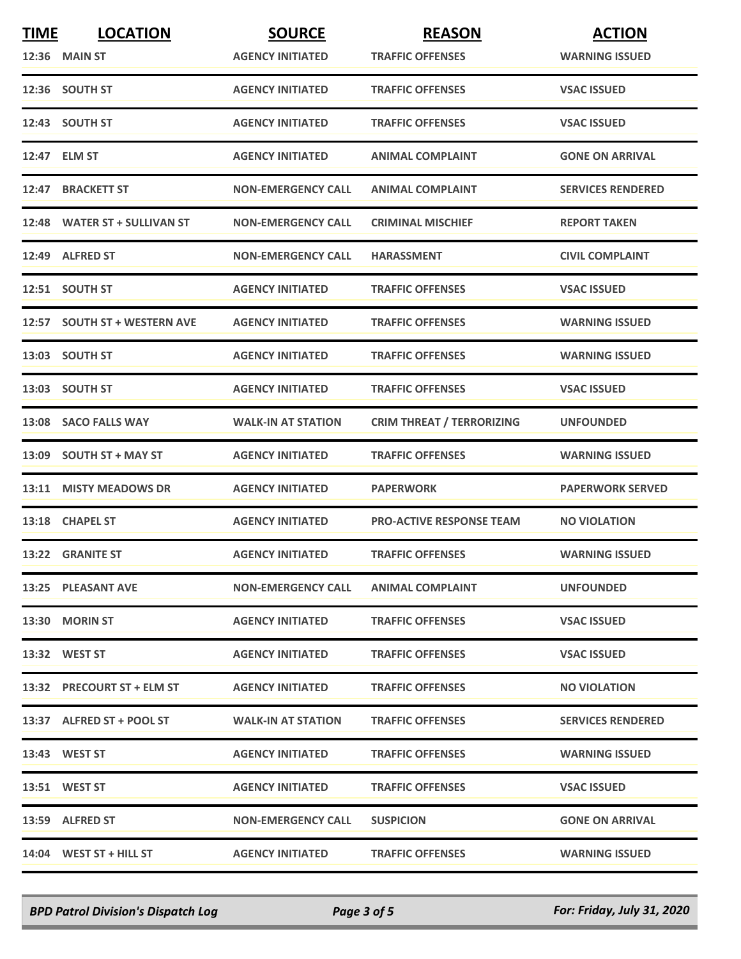| <b>TIME</b> | <b>LOCATION</b>              | <b>SOURCE</b>             | <b>REASON</b>                    | <b>ACTION</b>            |
|-------------|------------------------------|---------------------------|----------------------------------|--------------------------|
|             | <b>12:36 MAIN ST</b>         | <b>AGENCY INITIATED</b>   | <b>TRAFFIC OFFENSES</b>          | <b>WARNING ISSUED</b>    |
|             | 12:36 SOUTH ST               | <b>AGENCY INITIATED</b>   | <b>TRAFFIC OFFENSES</b>          | <b>VSAC ISSUED</b>       |
|             | 12:43 SOUTH ST               | <b>AGENCY INITIATED</b>   | <b>TRAFFIC OFFENSES</b>          | <b>VSAC ISSUED</b>       |
|             | 12:47 ELM ST                 | <b>AGENCY INITIATED</b>   | <b>ANIMAL COMPLAINT</b>          | <b>GONE ON ARRIVAL</b>   |
|             | 12:47 BRACKETT ST            | <b>NON-EMERGENCY CALL</b> | <b>ANIMAL COMPLAINT</b>          | <b>SERVICES RENDERED</b> |
|             | 12:48 WATER ST + SULLIVAN ST | <b>NON-EMERGENCY CALL</b> | <b>CRIMINAL MISCHIEF</b>         | <b>REPORT TAKEN</b>      |
|             | 12:49 ALFRED ST              | <b>NON-EMERGENCY CALL</b> | <b>HARASSMENT</b>                | <b>CIVIL COMPLAINT</b>   |
|             | 12:51 SOUTH ST               | <b>AGENCY INITIATED</b>   | <b>TRAFFIC OFFENSES</b>          | <b>VSAC ISSUED</b>       |
|             | 12:57 SOUTH ST + WESTERN AVE | <b>AGENCY INITIATED</b>   | <b>TRAFFIC OFFENSES</b>          | <b>WARNING ISSUED</b>    |
|             | 13:03 SOUTH ST               | <b>AGENCY INITIATED</b>   | <b>TRAFFIC OFFENSES</b>          | <b>WARNING ISSUED</b>    |
|             | 13:03 SOUTH ST               | <b>AGENCY INITIATED</b>   | <b>TRAFFIC OFFENSES</b>          | <b>VSAC ISSUED</b>       |
|             | 13:08 SACO FALLS WAY         | <b>WALK-IN AT STATION</b> | <b>CRIM THREAT / TERRORIZING</b> | <b>UNFOUNDED</b>         |
|             | 13:09 SOUTH ST + MAY ST      | <b>AGENCY INITIATED</b>   | <b>TRAFFIC OFFENSES</b>          | <b>WARNING ISSUED</b>    |
|             | 13:11 MISTY MEADOWS DR       | <b>AGENCY INITIATED</b>   | <b>PAPERWORK</b>                 | <b>PAPERWORK SERVED</b>  |
|             | 13:18 CHAPEL ST              | <b>AGENCY INITIATED</b>   | <b>PRO-ACTIVE RESPONSE TEAM</b>  | <b>NO VIOLATION</b>      |
|             | 13:22 GRANITE ST             | <b>AGENCY INITIATED</b>   | <b>TRAFFIC OFFENSES</b>          | <b>WARNING ISSUED</b>    |
|             | 13:25 PLEASANT AVE           | <b>NON-EMERGENCY CALL</b> | <b>ANIMAL COMPLAINT</b>          | <b>UNFOUNDED</b>         |
|             | 13:30 MORIN ST               | <b>AGENCY INITIATED</b>   | <b>TRAFFIC OFFENSES</b>          | <b>VSAC ISSUED</b>       |
|             | 13:32 WEST ST                | <b>AGENCY INITIATED</b>   | <b>TRAFFIC OFFENSES</b>          | <b>VSAC ISSUED</b>       |
|             | 13:32 PRECOURT ST + ELM ST   | <b>AGENCY INITIATED</b>   | <b>TRAFFIC OFFENSES</b>          | <b>NO VIOLATION</b>      |
|             | 13:37 ALFRED ST + POOL ST    | <b>WALK-IN AT STATION</b> | <b>TRAFFIC OFFENSES</b>          | <b>SERVICES RENDERED</b> |
|             | 13:43 WEST ST                | <b>AGENCY INITIATED</b>   | <b>TRAFFIC OFFENSES</b>          | <b>WARNING ISSUED</b>    |
|             | 13:51 WEST ST                | <b>AGENCY INITIATED</b>   | <b>TRAFFIC OFFENSES</b>          | <b>VSAC ISSUED</b>       |
|             | 13:59 ALFRED ST              | <b>NON-EMERGENCY CALL</b> | <b>SUSPICION</b>                 | <b>GONE ON ARRIVAL</b>   |
|             | 14:04 WEST ST + HILL ST      | <b>AGENCY INITIATED</b>   | <b>TRAFFIC OFFENSES</b>          | <b>WARNING ISSUED</b>    |

*BPD Patrol Division's Dispatch Log Page 3 of 5 For: Friday, July 31, 2020*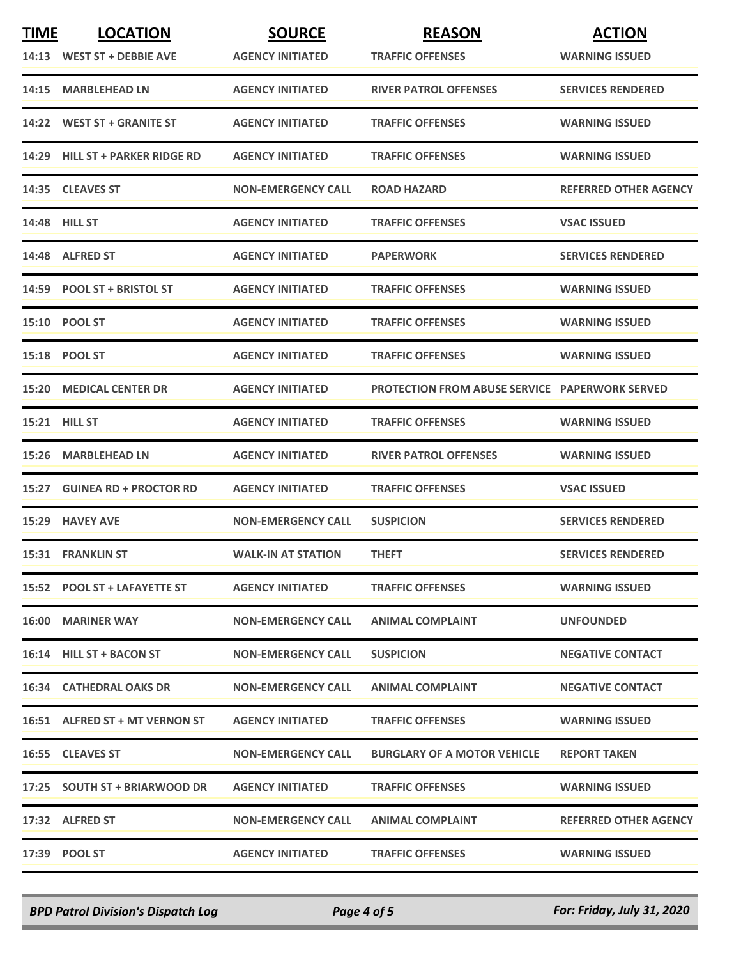| <b>TIME</b> | <b>LOCATION</b>                 | <b>SOURCE</b>             | <b>REASON</b>                                         | <b>ACTION</b>                |
|-------------|---------------------------------|---------------------------|-------------------------------------------------------|------------------------------|
|             | 14:13 WEST ST + DEBBIE AVE      | <b>AGENCY INITIATED</b>   | <b>TRAFFIC OFFENSES</b>                               | <b>WARNING ISSUED</b>        |
|             | 14:15 MARBLEHEAD LN             | <b>AGENCY INITIATED</b>   | <b>RIVER PATROL OFFENSES</b>                          | <b>SERVICES RENDERED</b>     |
|             | 14:22 WEST ST + GRANITE ST      | <b>AGENCY INITIATED</b>   | <b>TRAFFIC OFFENSES</b>                               | <b>WARNING ISSUED</b>        |
|             | 14:29 HILL ST + PARKER RIDGE RD | <b>AGENCY INITIATED</b>   | <b>TRAFFIC OFFENSES</b>                               | <b>WARNING ISSUED</b>        |
|             | 14:35 CLEAVES ST                | <b>NON-EMERGENCY CALL</b> | <b>ROAD HAZARD</b>                                    | <b>REFERRED OTHER AGENCY</b> |
|             | <b>14:48 HILL ST</b>            | <b>AGENCY INITIATED</b>   | <b>TRAFFIC OFFENSES</b>                               | <b>VSAC ISSUED</b>           |
|             | 14:48 ALFRED ST                 | <b>AGENCY INITIATED</b>   | <b>PAPERWORK</b>                                      | <b>SERVICES RENDERED</b>     |
|             | 14:59 POOL ST + BRISTOL ST      | <b>AGENCY INITIATED</b>   | <b>TRAFFIC OFFENSES</b>                               | <b>WARNING ISSUED</b>        |
|             | 15:10 POOL ST                   | <b>AGENCY INITIATED</b>   | <b>TRAFFIC OFFENSES</b>                               | <b>WARNING ISSUED</b>        |
|             | 15:18 POOL ST                   | <b>AGENCY INITIATED</b>   | <b>TRAFFIC OFFENSES</b>                               | <b>WARNING ISSUED</b>        |
|             | 15:20 MEDICAL CENTER DR         | <b>AGENCY INITIATED</b>   | <b>PROTECTION FROM ABUSE SERVICE PAPERWORK SERVED</b> |                              |
|             | <b>15:21 HILL ST</b>            | <b>AGENCY INITIATED</b>   | <b>TRAFFIC OFFENSES</b>                               | <b>WARNING ISSUED</b>        |
|             | 15:26 MARBLEHEAD LN             | <b>AGENCY INITIATED</b>   | <b>RIVER PATROL OFFENSES</b>                          | <b>WARNING ISSUED</b>        |
|             | 15:27 GUINEA RD + PROCTOR RD    | <b>AGENCY INITIATED</b>   | <b>TRAFFIC OFFENSES</b>                               | <b>VSAC ISSUED</b>           |
|             | 15:29 HAVEY AVE                 | <b>NON-EMERGENCY CALL</b> | <b>SUSPICION</b>                                      | <b>SERVICES RENDERED</b>     |
|             | <b>15:31 FRANKLIN ST</b>        | <b>WALK-IN AT STATION</b> | <b>THEFT</b>                                          | <b>SERVICES RENDERED</b>     |
|             | 15:52 POOL ST + LAFAYETTE ST    | <b>AGENCY INITIATED</b>   | <b>TRAFFIC OFFENSES</b>                               | <b>WARNING ISSUED</b>        |
|             | <b>16:00 MARINER WAY</b>        | <b>NON-EMERGENCY CALL</b> | <b>ANIMAL COMPLAINT</b>                               | <b>UNFOUNDED</b>             |
|             | 16:14 HILL ST + BACON ST        | <b>NON-EMERGENCY CALL</b> | <b>SUSPICION</b>                                      | <b>NEGATIVE CONTACT</b>      |
|             | <b>16:34 CATHEDRAL OAKS DR</b>  | <b>NON-EMERGENCY CALL</b> | <b>ANIMAL COMPLAINT</b>                               | <b>NEGATIVE CONTACT</b>      |
|             | 16:51 ALFRED ST + MT VERNON ST  | <b>AGENCY INITIATED</b>   | <b>TRAFFIC OFFENSES</b>                               | <b>WARNING ISSUED</b>        |
|             | 16:55 CLEAVES ST                | <b>NON-EMERGENCY CALL</b> | <b>BURGLARY OF A MOTOR VEHICLE</b>                    | <b>REPORT TAKEN</b>          |
|             | 17:25 SOUTH ST + BRIARWOOD DR   | <b>AGENCY INITIATED</b>   | <b>TRAFFIC OFFENSES</b>                               | <b>WARNING ISSUED</b>        |
|             | 17:32 ALFRED ST                 | <b>NON-EMERGENCY CALL</b> | <b>ANIMAL COMPLAINT</b>                               | <b>REFERRED OTHER AGENCY</b> |
|             | 17:39 POOL ST                   | <b>AGENCY INITIATED</b>   | <b>TRAFFIC OFFENSES</b>                               | <b>WARNING ISSUED</b>        |

*BPD Patrol Division's Dispatch Log Page 4 of 5 For: Friday, July 31, 2020*